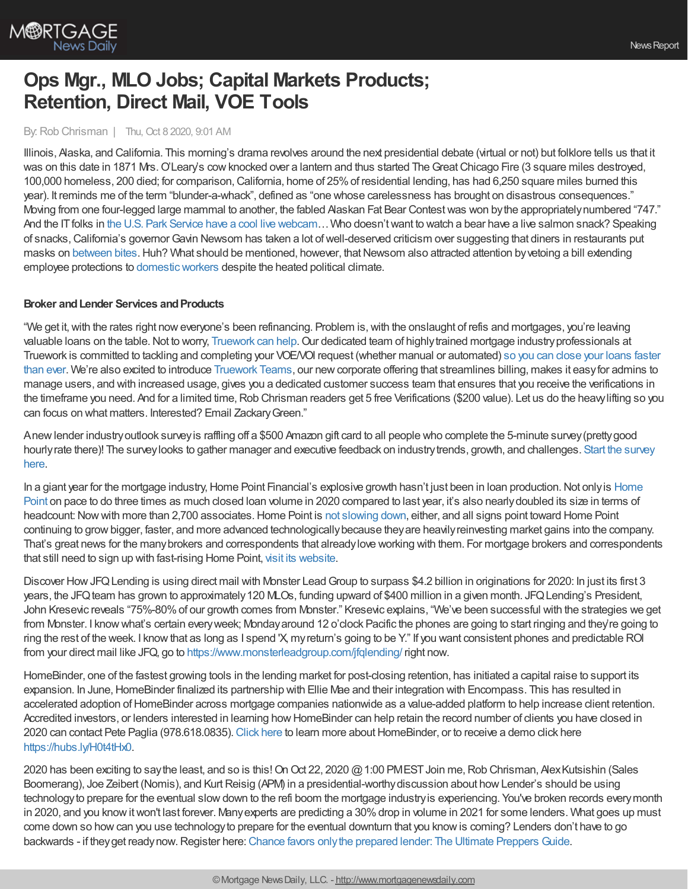

# **Ops Mgr., MLO Jobs; Capital Markets Products; Retention, Direct Mail, VOE Tools**

## By:Rob Chrisman | Thu, Oct 8 2020, 9:01 AM

Illinois, Alaska, and California. This morning's drama revolves around the next presidential debate (virtual or not) but folklore tells us that it was on this date in 1871 Mrs. O'Leary's cow knocked over a lantern and thus started The Great Chicago Fire (3 square miles destroyed, 100,000 homeless, 200 died; for comparison,California, home of 25%of residential lending, has had 6,250 square miles burned this year). It reminds me of the term "blunder-a-whack", defined as "one whose carelessness has brought on disastrous consequences." Moving from one four-legged large mammal to another, the fabled Alaskan Fat Bear Contestwas won bythe appropriatelynumbered "747." And the IT folks in the U.S. Park Service have a cool live webcam... Who doesn't want to watch a bear have a live salmon snack? Speaking of snacks,California's governorGavin Newsom has taken a lot ofwell-deserved criticism over suggesting that diners in restaurants put masks on [between](https://www.shorenewsnetwork.com/2020/10/07/california-governor-tells-diners-to-wear-face-mask-in-between-bites/) bites. Huh? What should be mentioned, however, that Newsom also attracted attention by vetoing a bill extending employee protections to domestic workers despite the heated political climate.

### **Broker and Lender Services and Products**

"We get it, with the rates right now everyone's been refinancing. Problem is, with the onslaught of refis and mortgages, you're leaving valuable loans on the table. Not to worry, [Truework](https://l.linklyhq.com/l/7wOg) can help. Our dedicated team of highly trained mortgage industry professionals at Truework is committed to tackling and completing your VOE/VOI request (whether manual or automated) so you can close your loans faster than ever. We're also excited to introduce [Truework](https://l.linklyhq.com/l/7wPm) Teams, our [newcorporate](https://l.linklyhq.com/l/7wOg) offering that streamlines billing, makes it easyfor admins to manage users, and with increased usage, gives you a dedicated customer success team that ensures that you receive the verifications in the timeframe you need. And for a limited time, Rob Chrisman readers get 5 free Verifications (\$200 value). Let us do the heavy lifting so you can focus on what matters. Interested? Email ZackaryGreen."

Anewlender industryoutlook surveyis raffling off a \$500 Amazon gift card to all people who complete the 5-minute survey(prettygood hourlyrate there)! The surveylooks to gather manager and executive feedback on [industrytrends,](https://www.surveymonkey.com/r/F8TLKQL) growth, and challenges. Start the survey here.

In a giant year for the mortgage industry, Home Point Financial's explosive growth hasn't just been in loan production. Not only is Home Point on pace to do three times as much closed loan volume in 2020 compared to last year, it's also nearly doubled its size in terms of headcount: Now with more than 2,700 associates. Home Point is not [slowing](https://usr58.dayforcehcm.com/CandidatePortal/en-US/homepoint) down, either, and all signs point toward Home Point continuing to growbigger, faster, and more advanced technologicallybecause theyare heavilyreinvesting market gains into the company. That's great news for the manybrokers and correspondents that alreadylove working with them. For mortgage brokers and correspondents that still need to sign up with fast-rising Home Point, visit its [website](https://tpo.homepointfinancial.com/).

Discover How JFQ Lending is using direct mail with Monster Lead Group to surpass \$4.2 billion in originations for 2020: In just its first 3 years, the JFQ team has grown to approximately 120 MLOs, funding upward of \$400 million in a given month. JFQ Lending's President, John Kresevic reveals "75%-80%of our growth comes from Monster." Kresevic explains, "We've been successful with the strategies we get from Monster. I knowwhat's certain everyweek; Mondayaround 12 o'clock Pacific the phones are going to start ringing and they're going to ring the rest of the week. I knowthat as long as I spend 'X, myreturn's going to be Y." If you want consistent phones and predictable ROI from your direct mail like JFQ, go to <https://www.monsterleadgroup.com/jfqlending/> right now.

HomeBinder, one of the fastest growing tools in the lending market for post-closing retention, has initiated a capital raise to support its expansion. In June, HomeBinder finalized its partnership with Ellie Mae and their integration with Encompass. This has resulted in accelerated adoption of HomeBinder across mortgage companies nationwide as a value-added platform to help increase client retention. Accredited investors, or lenders interested in learning how HomeBinder can help retain the record number of clients you have closed in 2020 can contact Pete Paglia (978.618.0835).[Click](https://pages.homebinder.com/) here to learn more aboutHomeBinder, or to receive a demo click here <https://hubs.ly/H0t4tHx0>.

2020 has been exciting to say the least, and so is this! On Oct 22, 2020 @ 1:00 PMEST Join me, Rob Chrisman, Alex Kutsishin (Sales Boomerang), Joe Zeibert (Nomis), and Kurt Reisig (APM) in a presidential-worthy discussion about how Lender's should be using technologyto prepare for the eventual slowdown to the refi boom the mortgage industryis experiencing. You've broken records everymonth in 2020, and you know it won't last forever. Many experts are predicting a 30% drop in volume in 2021 for some lenders. What goes up must come down so howcan you use technologyto prepare for the eventual downturn that you knowis coming? Lenders don't have to go backwards - if theyget readynow.Register here:Chance favors onlythe prepared lender: The Ultimate [Preppers](https://zoom.us/webinar/register/7716020995415/WN_Zb34OHdVT3uQ3vYBNxD5ww) Guide.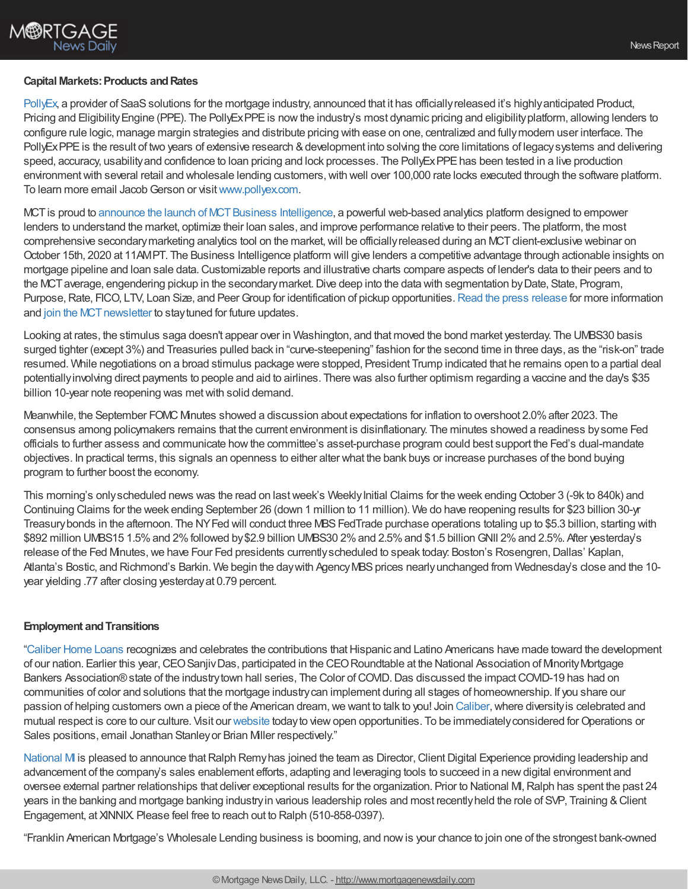

### **Capital Markets: Products and Rates**

[PollyEx](https://www.pollyex.com/), a provider of SaaS solutions for the mortgage industry, announced that it has officially released it's highly anticipated Product, Pricing and Eligibility Engine (PPE). The PollyEx PPE is now the industry's most dynamic pricing and eligibility platform, allowing lenders to configure rule logic, manage margin strategies and distribute pricing with ease on one, centralized and fullymodern user interface. The PollyExPPE is the result of two years of extensive research & development into solving the core limitations of legacy systems and delivering speed, accuracy, usability and confidence to loan pricing and lock processes. The PollyExPPE has been tested in a live production environment with several retail and wholesale lending customers, with well over 100,000 rate locks executed through the software platform. To learn more email Jacob Gerson or visit [www.pollyex.com.](http://www.pollyex.com/)

MCT is proud to announce the launch of MCT Business Intelligence, a powerful web-based analytics platform designed to empower lenders to understand the market, optimize their loan sales, and improve performance relative to their peers. The platform, the most comprehensive secondary marketing analytics tool on the market, will be officially released during an MCT client-exclusive webinar on October 15th, 2020 at 11AMPT. The Business Intelligence platform will give lenders a competitive advantage through actionable insights on mortgage pipeline and loan sale data.Customizable reports and illustrative charts compare aspects of lender's data to their peers and to the MCT average, engendering pickup in the secondary market. Dive deep into the data with segmentation by Date, State, Program, Purpose, Rate, FICO, LTV, Loan Size, and Peer Group for identification of pickup opportunities. Read the press [release](https://mct-trading.com/competitive-advantage-analytics/?utm_source=Rob%20Chrisman&utm_medium=Email&utm_campaign=Chrisman%20Blurb%20Business%20Intelligence) for more information and join the MCT newsletter to stay tuned for future updates.

Looking at rates, the stimulus saga doesn't appear over in Washington, and that moved the bond market yesterday. The UMBS30 basis surged tighter (except 3%) and Treasuries pulled back in "curve-steepening" fashion for the second time in three days, as the "risk-on" trade resumed. While negotiations on a broad stimulus package were stopped, President Trump indicated that he remains open to a partial deal potentiallyinvolving direct payments to people and aid to airlines. There was also further optimism regarding a vaccine and the day's \$35 billion 10-year note reopening was metwith solid demand.

Meanwhile, the September FOMC Minutes showed a discussion about expectations for inflation to overshoot 2.0%after 2023. The consensus among policymakers remains that the current environment is disinflationary. The minutes showed a readiness bysome Fed officials to further assess and communicate howthe committee's asset-purchase program could best support the Fed's dual-mandate objectives. In practical terms, this signals an openness to either alter what the bank buys or increase purchases of the bond buying program to further boost the economy.

This morning's onlyscheduled news was the read on last week's Weekly Initial Claims for the week ending October 3 (-9k to 840k) and Continuing Claims for the week ending September 26 (down 1 million to 11 million). We do have reopening results for \$23 billion 30-yr Treasurybonds in the afternoon. The NYFed will conduct three MBSFedTrade purchase operations totaling up to \$5.3 billion, starting with \$892 million UMBS15 1.5% and 2% followed by \$2.9 billion UMBS30 2% and 2.5% and \$1.5 billion GNII 2% and 2.5%. After yesterday's release of the Fed Minutes, we have Four Fed presidents currently scheduled to speak today: Boston's Rosengren, Dallas' Kaplan, Atlanta's Bostic, and Richmond's Barkin. We begin the day with Agency MBS prices nearly unchanged from Wednesday's close and the 10year yielding .77 after closing yesterdayat 0.79 percent.

## **Employment and Transitions**

["Caliber](https://recruiting.adp.com/srccar/public/RTI.home?d=ExternalCaliberHomeLoans&_icx=v02Pg0E8dry77as%252F53w4AJaa70NZw%252Fw8fF8hbFO1EF85wLt9DxjYJuzTaiz3cC3bUG0&c=1060341&_dissimuloSSO=k81IQ_xGY14:XQC7YMN_-Mx6DdXOyW3KVTQohAw) Home Loans recognizes and celebrates the contributions that Hispanic and Latino Americans have made toward the development of our nation. Earlier this year,CEOSanjivDas, participated in the CEORoundtable at the National Association of MinorityMortgage Bankers Association® state of the industry town hall series, The Color of COVID. Das discussed the impact COVID-19 has had on communities of color and solutions that the mortgage industrycan implement during all stages of homeownership. If you share our passion of helping customers own a piece of the American dream,we want to talk to you! Join [Caliber,](https://recruiting.adp.com/srccar/public/RTI.home?d=ExternalCaliberHomeLoans&_icx=v02Pg0E8dry77as%252F53w4AJaa70NZw%252Fw8fF8hbFO1EF85wLt9DxjYJuzTaiz3cC3bUG0&c=1060341&_dissimuloSSO=k81IQ_xGY14:XQC7YMN_-Mx6DdXOyW3KVTQohAw)where diversityis celebrated and mutual respect is core to our culture. Visit our [website](https://recruiting.adp.com/srccar/public/RTI.home?d=ExternalCaliberHomeLoans&_icx=v02Pg0E8dry77as%252F53w4AJaa70NZw%252Fw8fF8hbFO1EF85wLt9DxjYJuzTaiz3cC3bUG0&c=1060341&_dissimuloSSO=k81IQ_xGY14:XQC7YMN_-Mx6DdXOyW3KVTQohAw) todayto viewopen opportunities. To be immediatelyconsidered forOperations or Sales positions, email Jonathan Stanley or Brian Miller respectively."

[National](https://www.nationalmi.com/) MI is pleased to announce that Ralph Remyhas joined the team as Director, Client Digital Experience providing leadership and advancement of the company's sales enablement efforts, adapting and leveraging tools to succeed in a newdigital environment and oversee external partner relationships that deliver exceptional results for the organization. Prior to National MI,Ralph has spent the past 24 years in the banking and mortgage banking industryin various leadership roles and most recentlyheld the role of SVP, Training &Client Engagement, at XINNIX. Please feel free to reach out to Ralph (510-858-0397).

"Franklin American Mortgage's Wholesale Lending business is booming, and nowis your chance to join one of the strongest bank-owned